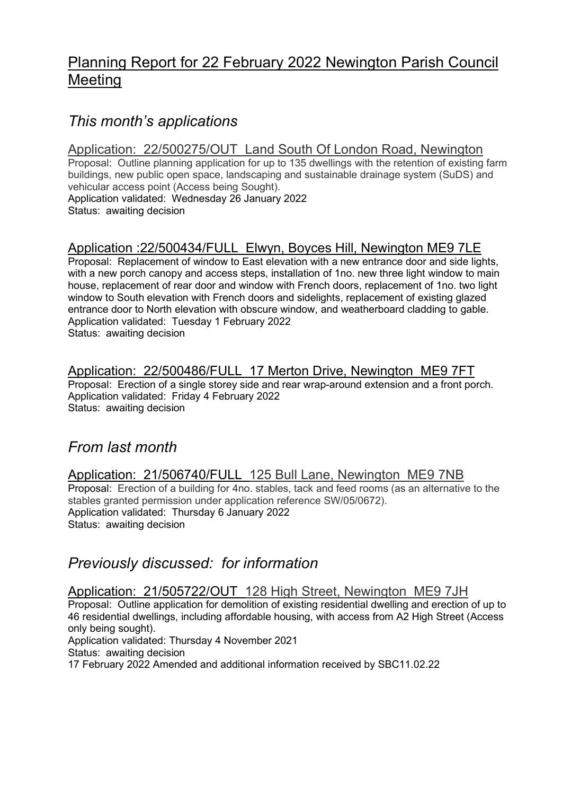# Planning Report for 22 February 2022 Newington Parish Council Meeting

# This month's applications

#### Application: 22/500275/OUT Land South Of London Road, Newington

Proposal: Outline planning application for up to 135 dwellings with the retention of existing farm buildings, new public open space, landscaping and sustainable drainage system (SuDS) and vehicular access point (Access being Sought).

Application validated: Wednesday 26 January 2022 Status: awaiting decision

## Application :22/500434/FULL Elwyn, Boyces Hill, Newington ME9 7LE

Proposal: Replacement of window to East elevation with a new entrance door and side lights, with a new porch canopy and access steps, installation of 1no. new three light window to main house, replacement of rear door and window with French doors, replacement of 1no. two light window to South elevation with French doors and sidelights, replacement of existing glazed entrance door to North elevation with obscure window, and weatherboard cladding to gable. Application validated: Tuesday 1 February 2022 Status: awaiting decision

#### Application: 22/500486/FULL 17 Merton Drive, Newington ME9 7FT

Proposal: Erection of a single storey side and rear wrap-around extension and a front porch. Application validated: Friday 4 February 2022 Status: awaiting decision

# From last month

#### Application: 21/506740/FULL 125 Bull Lane, Newington ME9 7NB Proposal: Erection of a building for 4no. stables, tack and feed rooms (as an alternative to the

stables granted permission under application reference SW/05/0672). Application validated: Thursday 6 January 2022 Status: awaiting decision

# Previously discussed: for information

#### Application: 21/505722/OUT 128 High Street, Newington ME9 7JH

Proposal: Outline application for demolition of existing residential dwelling and erection of up to 46 residential dwellings, including affordable housing, with access from A2 High Street (Access only being sought).

Application validated: Thursday 4 November 2021

Status: awaiting decision

17 February 2022 Amended and additional information received by SBC11.02.22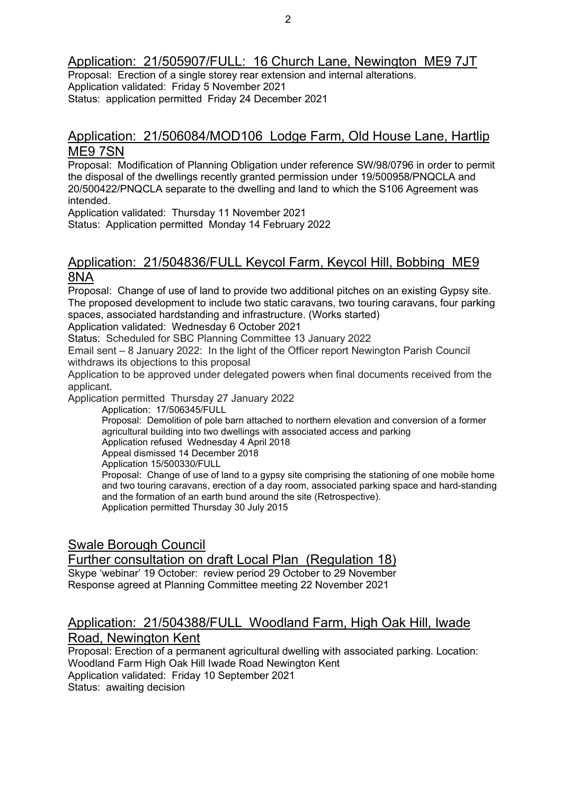Application: 21/505907/FULL: 16 Church Lane, Newington ME9 7JT

Proposal: Erection of a single storey rear extension and internal alterations. Application validated: Friday 5 November 2021 Status: application permitted Friday 24 December 2021

#### Application: 21/506084/MOD106 Lodge Farm, Old House Lane, Hartlip ME9 7SN

Proposal: Modification of Planning Obligation under reference SW/98/0796 in order to permit the disposal of the dwellings recently granted permission under 19/500958/PNQCLA and 20/500422/PNQCLA separate to the dwelling and land to which the S106 Agreement was intended.

Application validated: Thursday 11 November 2021 Status: Application permitted Monday 14 February 2022

#### Application: 21/504836/FULL Keycol Farm, Keycol Hill, Bobbing ME9 8NA

Proposal: Change of use of land to provide two additional pitches on an existing Gypsy site. The proposed development to include two static caravans, two touring caravans, four parking spaces, associated hardstanding and infrastructure. (Works started)

Application validated: Wednesday 6 October 2021

Status: Scheduled for SBC Planning Committee 13 January 2022

Email sent – 8 January 2022: In the light of the Officer report Newington Parish Council withdraws its objections to this proposal

Application to be approved under delegated powers when final documents received from the applicant.

Application permitted Thursday 27 January 2022

Application: 17/506345/FULL

Proposal: Demolition of pole barn attached to northern elevation and conversion of a former agricultural building into two dwellings with associated access and parking

Application refused Wednesday 4 April 2018

Appeal dismissed 14 December 2018

Application 15/500330/FULL

Proposal: Change of use of land to a gypsy site comprising the stationing of one mobile home and two touring caravans, erection of a day room, associated parking space and hard-standing and the formation of an earth bund around the site (Retrospective). Application permitted Thursday 30 July 2015

### Swale Borough Council

Further consultation on draft Local Plan (Regulation 18)

Skype 'webinar' 19 October: review period 29 October to 29 November Response agreed at Planning Committee meeting 22 November 2021

# Application: 21/504388/FULL Woodland Farm, High Oak Hill, Iwade

Road, Newington Kent

Proposal: Erection of a permanent agricultural dwelling with associated parking. Location: Woodland Farm High Oak Hill Iwade Road Newington Kent Application validated: Friday 10 September 2021 Status: awaiting decision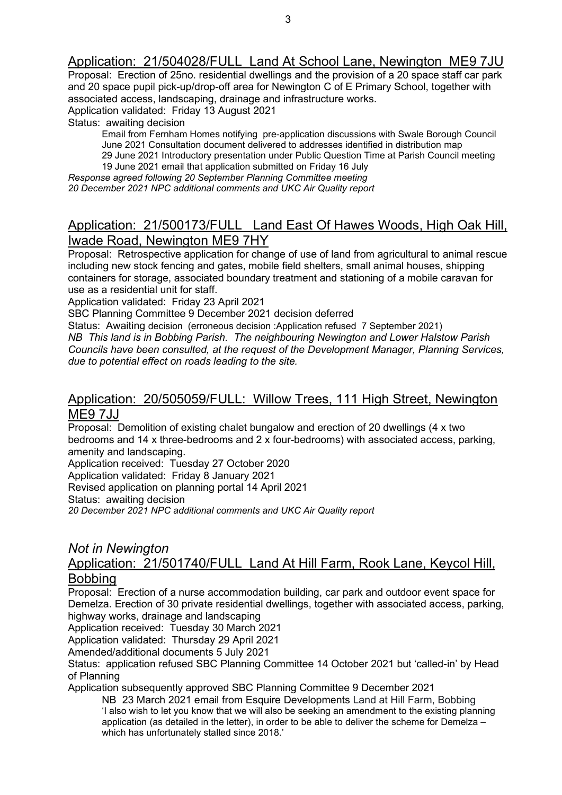#### Application: 21/504028/FULL Land At School Lane, Newington ME9 7JU

Proposal: Erection of 25no. residential dwellings and the provision of a 20 space staff car park and 20 space pupil pick-up/drop-off area for Newington C of E Primary School, together with associated access, landscaping, drainage and infrastructure works. Application validated: Friday 13 August 2021

Status: awaiting decision

Email from Fernham Homes notifying pre-application discussions with Swale Borough Council June 2021 Consultation document delivered to addresses identified in distribution map

29 June 2021 Introductory presentation under Public Question Time at Parish Council meeting 19 June 2021 email that application submitted on Friday 16 July

Response agreed following 20 September Planning Committee meeting

20 December 2021 NPC additional comments and UKC Air Quality report

#### Application: 21/500173/FULL Land East Of Hawes Woods, High Oak Hill, Iwade Road, Newington ME9 7HY

Proposal: Retrospective application for change of use of land from agricultural to animal rescue including new stock fencing and gates, mobile field shelters, small animal houses, shipping containers for storage, associated boundary treatment and stationing of a mobile caravan for use as a residential unit for staff.

Application validated: Friday 23 April 2021

SBC Planning Committee 9 December 2021 decision deferred

Status: Awaiting decision (erroneous decision :Application refused 7 September 2021) NB This land is in Bobbing Parish. The neighbouring Newington and Lower Halstow Parish Councils have been consulted, at the request of the Development Manager, Planning Services, due to potential effect on roads leading to the site.

# Application: 20/505059/FULL: Willow Trees, 111 High Street, Newington

ME9 7JJ

Proposal: Demolition of existing chalet bungalow and erection of 20 dwellings (4 x two bedrooms and 14 x three-bedrooms and 2 x four-bedrooms) with associated access, parking, amenity and landscaping.

Application received: Tuesday 27 October 2020 Application validated: Friday 8 January 2021

Revised application on planning portal 14 April 2021

Status: awaiting decision

20 December 2021 NPC additional comments and UKC Air Quality report

#### Not in Newington

#### Application: 21/501740/FULL Land At Hill Farm, Rook Lane, Keycol Hill, Bobbing

Proposal: Erection of a nurse accommodation building, car park and outdoor event space for Demelza. Erection of 30 private residential dwellings, together with associated access, parking, highway works, drainage and landscaping

Application received: Tuesday 30 March 2021

Application validated: Thursday 29 April 2021

Amended/additional documents 5 July 2021

Status: application refused SBC Planning Committee 14 October 2021 but 'called-in' by Head of Planning

Application subsequently approved SBC Planning Committee 9 December 2021

NB 23 March 2021 email from Esquire Developments Land at Hill Farm, Bobbing 'I also wish to let you know that we will also be seeking an amendment to the existing planning application (as detailed in the letter), in order to be able to deliver the scheme for Demelza – which has unfortunately stalled since 2018.'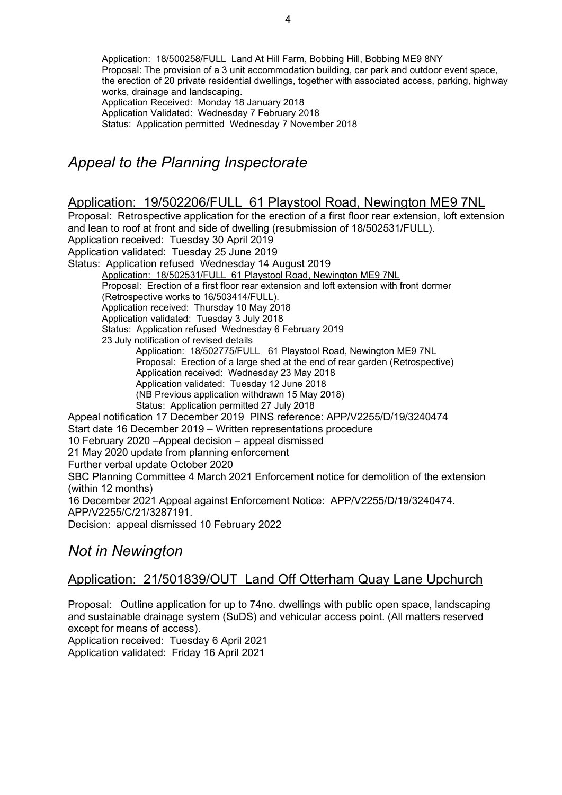Application: 18/500258/FULL Land At Hill Farm, Bobbing Hill, Bobbing ME9 8NY Proposal: The provision of a 3 unit accommodation building, car park and outdoor event space, the erection of 20 private residential dwellings, together with associated access, parking, highway works, drainage and landscaping. Application Received: Monday 18 January 2018 Application Validated: Wednesday 7 February 2018 Status: Application permitted Wednesday 7 November 2018

# Appeal to the Planning Inspectorate

#### Application: 19/502206/FULL 61 Playstool Road, Newington ME9 7NL

Proposal: Retrospective application for the erection of a first floor rear extension, loft extension and lean to roof at front and side of dwelling (resubmission of 18/502531/FULL). Application received: Tuesday 30 April 2019 Application validated: Tuesday 25 June 2019 Status: Application refused Wednesday 14 August 2019 Application: 18/502531/FULL 61 Playstool Road, Newington ME9 7NL Proposal: Erection of a first floor rear extension and loft extension with front dormer (Retrospective works to 16/503414/FULL). Application received: Thursday 10 May 2018 Application validated: Tuesday 3 July 2018 Status: Application refused Wednesday 6 February 2019 23 July notification of revised details Application: 18/502775/FULL 61 Playstool Road, Newington ME9 7NL Proposal: Erection of a large shed at the end of rear garden (Retrospective) Application received: Wednesday 23 May 2018 Application validated: Tuesday 12 June 2018 (NB Previous application withdrawn 15 May 2018) Status: Application permitted 27 July 2018 Appeal notification 17 December 2019 PINS reference: APP/V2255/D/19/3240474 Start date 16 December 2019 – Written representations procedure 10 February 2020 –Appeal decision – appeal dismissed 21 May 2020 update from planning enforcement Further verbal update October 2020 SBC Planning Committee 4 March 2021 Enforcement notice for demolition of the extension (within 12 months) 16 December 2021 Appeal against Enforcement Notice: APP/V2255/D/19/3240474. APP/V2255/C/21/3287191. Decision: appeal dismissed 10 February 2022

# Not in Newington

#### Application: 21/501839/OUT Land Off Otterham Quay Lane Upchurch

Proposal: Outline application for up to 74no. dwellings with public open space, landscaping and sustainable drainage system (SuDS) and vehicular access point. (All matters reserved except for means of access).

Application received: Tuesday 6 April 2021

Application validated: Friday 16 April 2021